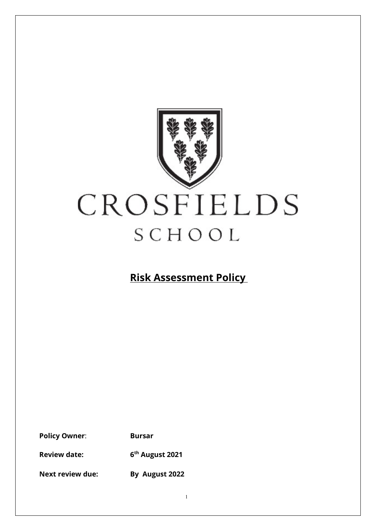

**Risk Assessment Policy**

**Policy Owner**: **Bursar**

**Review date: 6th August 2021**

**Next review due: By August 2022**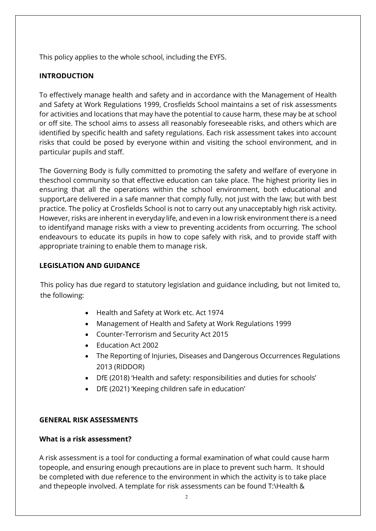This policy applies to the whole school, including the EYFS.

# **INTRODUCTION**

To effectively manage health and safety and in accordance with the Management of Health and Safety at Work Regulations 1999, Crosfields School maintains a set of risk assessments for activities and locations that may have the potential to cause harm, these may be at school or off site. The school aims to assess all reasonably foreseeable risks, and others which are identified by specific health and safety regulations. Each risk assessment takes into account risks that could be posed by everyone within and visiting the school environment, and in particular pupils and staff.

The Governing Body is fully committed to promoting the safety and welfare of everyone in theschool community so that effective education can take place. The highest priority lies in ensuring that all the operations within the school environment, both educational and support,are delivered in a safe manner that comply fully, not just with the law; but with best practice. The policy at Crosfields School is not to carry out any unacceptably high risk activity. However, risks are inherent in everyday life, and even in a low risk environment there is a need to identifyand manage risks with a view to preventing accidents from occurring. The school endeavours to educate its pupils in how to cope safely with risk, and to provide staff with appropriate training to enable them to manage risk.

# **LEGISLATION AND GUIDANCE**

This policy has due regard to statutory legislation and guidance including, but not limited to, the following:

- Health and Safety at Work etc. Act 1974
- Management of Health and Safety at Work Regulations 1999
- Counter-Terrorism and Security Act 2015
- Education Act 2002
- The Reporting of Injuries, Diseases and Dangerous Occurrences Regulations 2013 (RIDDOR)
- DfE (2018) 'Health and safety: responsibilities and duties for schools'
- DfE (2021) 'Keeping children safe in education'

# **GENERAL RISK ASSESSMENTS**

# **What is a risk assessment?**

A risk assessment is a tool for conducting a formal examination of what could cause harm topeople, and ensuring enough precautions are in place to prevent such harm. It should be completed with due reference to the environment in which the activity is to take place and thepeople involved. A template for risk assessments can be found T:\Health &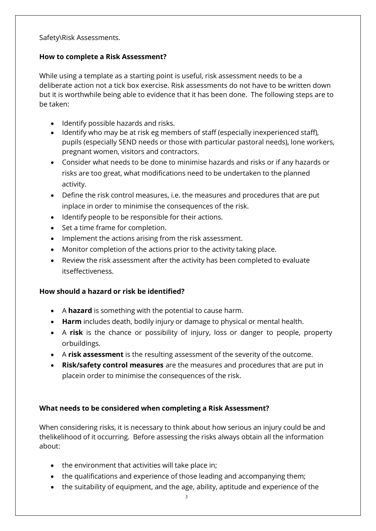Safety\Risk Assessments.

## **How to complete a Risk Assessment?**

While using a template as a starting point is useful, risk assessment needs to be a deliberate action not a tick box exercise. Risk assessments do not have to be written down but it is worthwhile being able to evidence that it has been done. The following steps are to be taken:

- Identify possible hazards and risks.
- Identify who may be at risk eg members of staff (especially inexperienced staff), pupils (especially SEND needs or those with particular pastoral needs), lone workers, pregnant women, visitors and contractors.
- Consider what needs to be done to minimise hazards and risks or if any hazards or risks are too great, what modifications need to be undertaken to the planned activity.
- Define the risk control measures, i.e. the measures and procedures that are put inplace in order to minimise the consequences of the risk.
- Identify people to be responsible for their actions.
- Set a time frame for completion.
- Implement the actions arising from the risk assessment.
- Monitor completion of the actions prior to the activity taking place.
- Review the risk assessment after the activity has been completed to evaluate itseffectiveness.

# **How should a hazard or risk be identified?**

- A **hazard** is something with the potential to cause harm.
- **Harm** includes death, bodily injury or damage to physical or mental health.
- A **risk** is the chance or possibility of injury, loss or danger to people, property orbuildings.
- A **risk assessment** is the resulting assessment of the severity of the outcome.
- **Risk/safety control measures** are the measures and procedures that are put in placein order to minimise the consequences of the risk.

# **What needs to be considered when completing a Risk Assessment?**

When considering risks, it is necessary to think about how serious an injury could be and thelikelihood of it occurring. Before assessing the risks always obtain all the information about:

- the environment that activities will take place in;
- the qualifications and experience of those leading and accompanying them;
- the suitability of equipment, and the age, ability, aptitude and experience of the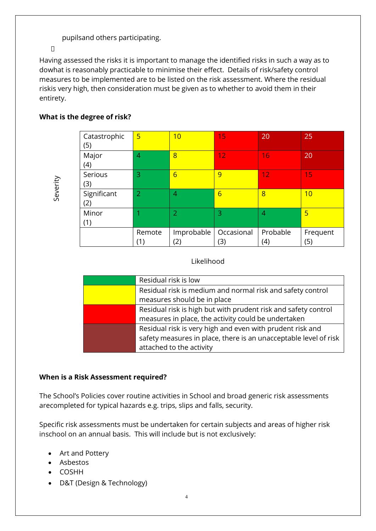pupilsand others participating.

 $\Box$ 

Having assessed the risks it is important to manage the identified risks in such a way as to dowhat is reasonably practicable to minimise their effect. Details of risk/safety control measures to be implemented are to be listed on the risk assessment. Where the residual riskis very high, then consideration must be given as to whether to avoid them in their entirety.

# **What is the degree of risk?**

| Severity                                                        | Catastrophic<br>(5)                                                                                                                                                | $5\overline{}$ | 10                                                                                                                    | 15                | 20              | 25              |  |
|-----------------------------------------------------------------|--------------------------------------------------------------------------------------------------------------------------------------------------------------------|----------------|-----------------------------------------------------------------------------------------------------------------------|-------------------|-----------------|-----------------|--|
|                                                                 | Major<br>(4)                                                                                                                                                       | $\overline{4}$ | 8                                                                                                                     | 12                | 16              | 20              |  |
|                                                                 | Serious<br>(3)                                                                                                                                                     | 3              | $6\overline{6}$                                                                                                       | 9                 | 12              | 15              |  |
|                                                                 | Significant<br>(2)                                                                                                                                                 | $\overline{2}$ | $\overline{4}$                                                                                                        | $6\overline{6}$   | 8               | 10              |  |
|                                                                 | Minor<br>(1)                                                                                                                                                       | 1              | $\overline{2}$                                                                                                        | 3                 | 4               | $\overline{5}$  |  |
|                                                                 |                                                                                                                                                                    | Remote<br>(1)  | Improbable<br>(2)                                                                                                     | Occasional<br>(3) | Probable<br>(4) | Frequent<br>(5) |  |
| Likelihood                                                      |                                                                                                                                                                    |                |                                                                                                                       |                   |                 |                 |  |
|                                                                 |                                                                                                                                                                    |                | Residual risk is low                                                                                                  |                   |                 |                 |  |
|                                                                 |                                                                                                                                                                    |                | Residual risk is medium and normal risk and safety control<br>measures should be in place                             |                   |                 |                 |  |
|                                                                 |                                                                                                                                                                    |                | Residual risk is high but with prudent risk and safety control<br>measures in place, the activity could be undertaken |                   |                 |                 |  |
|                                                                 | Residual risk is very high and even with prudent risk and<br>safety measures in place, there is an unacceptable level of risk<br>attached to the activity          |                |                                                                                                                       |                   |                 |                 |  |
|                                                                 | en is a Risk Assessment required?                                                                                                                                  |                |                                                                                                                       |                   |                 |                 |  |
|                                                                 | e School's Policies cover routine activities in School and broad generic risk assessments<br>ecompleted for typical hazards e.g. trips, slips and falls, security. |                |                                                                                                                       |                   |                 |                 |  |
|                                                                 | ecific risk assessments must be undertaken for certain subjects and areas of higher risk<br>chool on an annual basis. This will include but is not exclusively:    |                |                                                                                                                       |                   |                 |                 |  |
| $\bullet$<br>Asbestos<br>$\bullet$<br><b>COSHH</b><br>$\bullet$ | Art and Pottery                                                                                                                                                    |                |                                                                                                                       |                   |                 |                 |  |
|                                                                 | D&T (Design & Technology)                                                                                                                                          |                |                                                                                                                       |                   |                 |                 |  |

# Likelihood

| Residual risk is low                                             |
|------------------------------------------------------------------|
| Residual risk is medium and normal risk and safety control       |
| measures should be in place                                      |
| Residual risk is high but with prudent risk and safety control   |
| measures in place, the activity could be undertaken              |
| Residual risk is very high and even with prudent risk and        |
| safety measures in place, there is an unacceptable level of risk |
| attached to the activity                                         |

# **When is a Risk Assessment required?**

- Art and Pottery
- Asbestos
- COSHH
-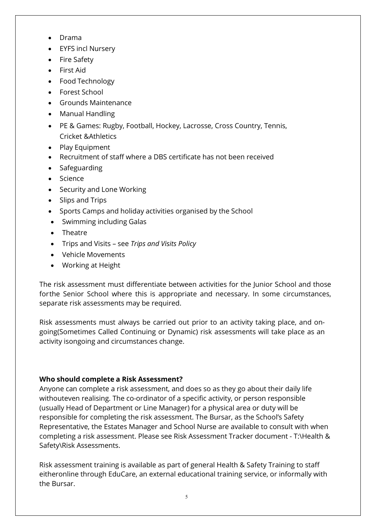- Drama
- EYFS incl Nursery
- Fire Safety
- First Aid
- Food Technology
- Forest School
- Grounds Maintenance
- Manual Handling
- PE & Games: Rugby, Football, Hockey, Lacrosse, Cross Country, Tennis, Cricket &Athletics
- Play Equipment
- Recruitment of staff where a DBS certificate has not been received
- Safeguarding
- Science
- Security and Lone Working
- Slips and Trips
- Sports Camps and holiday activities organised by the School
- Swimming including Galas
- Theatre
- Trips and Visits see *Trips and Visits Policy*
- Vehicle Movements
- Working at Height

The risk assessment must differentiate between activities for the Junior School and those forthe Senior School where this is appropriate and necessary. In some circumstances, separate risk assessments may be required.

Risk assessments must always be carried out prior to an activity taking place, and ongoing(Sometimes Called Continuing or Dynamic) risk assessments will take place as an activity isongoing and circumstances change.

# **Who should complete a Risk Assessment?**

Anyone can complete a risk assessment, and does so as they go about their daily life withouteven realising. The co-ordinator of a specific activity, or person responsible (usually Head of Department or Line Manager) for a physical area or duty will be responsible for completing the risk assessment. The Bursar, as the School's Safety Representative, the Estates Manager and School Nurse are available to consult with when completing a risk assessment. Please see Risk Assessment Tracker document - T:\Health & Safety\Risk Assessments.

Risk assessment training is available as part of general Health & Safety Training to staff eitheronline through EduCare, an external educational training service, or informally with the Bursar.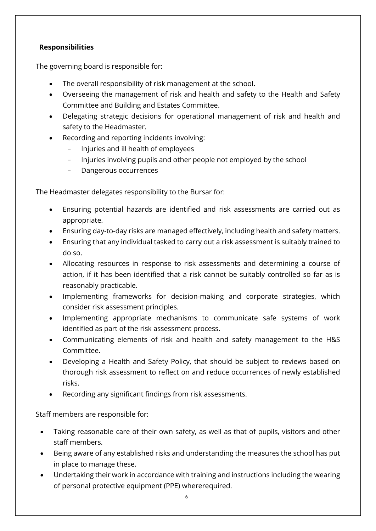# **Responsibilities**

The governing board is responsible for:

- The overall responsibility of risk management at the school.
- Overseeing the management of risk and health and safety to the Health and Safety Committee and Building and Estates Committee.
- Delegating strategic decisions for operational management of risk and health and safety to the Headmaster.
- Recording and reporting incidents involving:
	- Injuries and ill health of employees
	- Injuries involving pupils and other people not employed by the school
	- Dangerous occurrences

The Headmaster delegates responsibility to the Bursar for:

- Ensuring potential hazards are identified and risk assessments are carried out as appropriate.
- Ensuring day-to-day risks are managed effectively, including health and safety matters.
- Ensuring that any individual tasked to carry out a risk assessment is suitably trained to do so.
- Allocating resources in response to risk assessments and determining a course of action, if it has been identified that a risk cannot be suitably controlled so far as is reasonably practicable.
- Implementing frameworks for decision-making and corporate strategies, which consider risk assessment principles.
- Implementing appropriate mechanisms to communicate safe systems of work identified as part of the risk assessment process.
- Communicating elements of risk and health and safety management to the H&S Committee.
- Developing a Health and Safety Policy, that should be subject to reviews based on thorough risk assessment to reflect on and reduce occurrences of newly established risks.
- Recording any significant findings from risk assessments.

Staff members are responsible for:

- Taking reasonable care of their own safety, as well as that of pupils, visitors and other staff members.
- Being aware of any established risks and understanding the measures the school has put in place to manage these.
- Undertaking their work in accordance with training and instructions including the wearing of personal protective equipment (PPE) whererequired.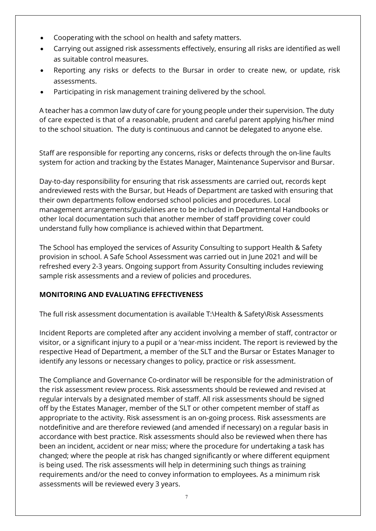- Cooperating with the school on health and safety matters.
- Carrying out assigned risk assessments effectively, ensuring all risks are identified as well as suitable control measures.
- Reporting any risks or defects to the Bursar in order to create new, or update, risk assessments.
- Participating in risk management training delivered by the school.

A teacher has a common law duty of care for young people under their supervision. The duty of care expected is that of a reasonable, prudent and careful parent applying his/her mind to the school situation. The duty is continuous and cannot be delegated to anyone else.

Staff are responsible for reporting any concerns, risks or defects through the on-line faults system for action and tracking by the Estates Manager, Maintenance Supervisor and Bursar.

Day-to-day responsibility for ensuring that risk assessments are carried out, records kept andreviewed rests with the Bursar, but Heads of Department are tasked with ensuring that their own departments follow endorsed school policies and procedures. Local management arrangements/guidelines are to be included in Departmental Handbooks or other local documentation such that another member of staff providing cover could understand fully how compliance is achieved within that Department.

The School has employed the services of Assurity Consulting to support Health & Safety provision in school. A Safe School Assessment was carried out in June 2021 and will be refreshed every 2-3 years. Ongoing support from Assurity Consulting includes reviewing sample risk assessments and a review of policies and procedures.

# **MONITORING AND EVALUATING EFFECTIVENESS**

The full risk assessment documentation is available T:\Health & Safety\Risk Assessments

Incident Reports are completed after any accident involving a member of staff, contractor or visitor, or a significant injury to a pupil or a 'near-miss incident. The report is reviewed by the respective Head of Department, a member of the SLT and the Bursar or Estates Manager to identify any lessons or necessary changes to policy, practice or risk assessment.

The Compliance and Governance Co-ordinator will be responsible for the administration of the risk assessment review process. Risk assessments should be reviewed and revised at regular intervals by a designated member of staff. All risk assessments should be signed off by the Estates Manager, member of the SLT or other competent member of staff as appropriate to the activity. Risk assessment is an on-going process. Risk assessments are notdefinitive and are therefore reviewed (and amended if necessary) on a regular basis in accordance with best practice. Risk assessments should also be reviewed when there has been an incident, accident or near miss; where the procedure for undertaking a task has changed; where the people at risk has changed significantly or where different equipment is being used. The risk assessments will help in determining such things as training requirements and/or the need to convey information to employees. As a minimum risk assessments will be reviewed every 3 years.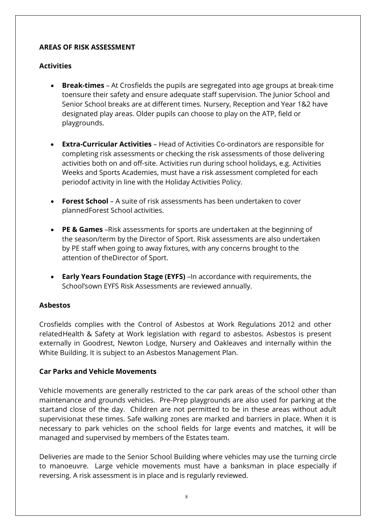# **AREAS OF RISK ASSESSMENT**

# **Activities**

- **Break-times**  At Crosfields the pupils are segregated into age groups at break-time toensure their safety and ensure adequate staff supervision. The Junior School and Senior School breaks are at different times. Nursery, Reception and Year 1&2 have designated play areas. Older pupils can choose to play on the ATP, field or playgrounds.
- **Extra-Curricular Activities**  Head of Activities Co-ordinators are responsible for completing risk assessments or checking the risk assessments of those delivering activities both on and off-site. Activities run during school holidays, e.g. Activities Weeks and Sports Academies, must have a risk assessment completed for each periodof activity in line with the Holiday Activities Policy.
- **Forest School**  A suite of risk assessments has been undertaken to cover plannedForest School activities.
- **PE & Games** –Risk assessments for sports are undertaken at the beginning of the season/term by the Director of Sport. Risk assessments are also undertaken by PE staff when going to away fixtures, with any concerns brought to the attention of theDirector of Sport.
- **Early Years Foundation Stage (EYFS)** –In accordance with requirements, the School'sown EYFS Risk Assessments are reviewed annually.

# **Asbestos**

Crosfields complies with the Control of Asbestos at Work Regulations 2012 and other relatedHealth & Safety at Work legislation with regard to asbestos. Asbestos is present externally in Goodrest, Newton Lodge, Nursery and Oakleaves and internally within the White Building. It is subject to an Asbestos Management Plan.

# **Car Parks and Vehicle Movements**

Vehicle movements are generally restricted to the car park areas of the school other than maintenance and grounds vehicles. Pre-Prep playgrounds are also used for parking at the startand close of the day. Children are not permitted to be in these areas without adult supervisionat these times. Safe walking zones are marked and barriers in place. When it is necessary to park vehicles on the school fields for large events and matches, it will be managed and supervised by members of the Estates team.

Deliveries are made to the Senior School Building where vehicles may use the turning circle to manoeuvre. Large vehicle movements must have a banksman in place especially if reversing. A risk assessment is in place and is regularly reviewed.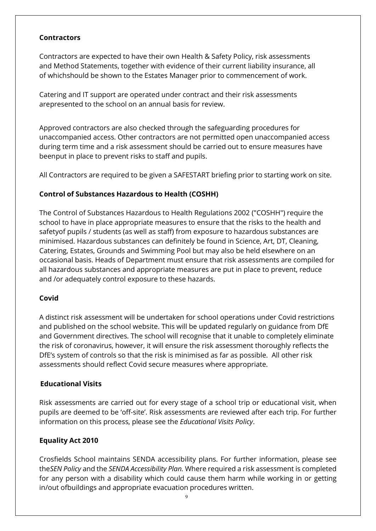## **Contractors**

Contractors are expected to have their own Health & Safety Policy, risk assessments and Method Statements, together with evidence of their current liability insurance, all of whichshould be shown to the Estates Manager prior to commencement of work.

Catering and IT support are operated under contract and their risk assessments arepresented to the school on an annual basis for review.

Approved contractors are also checked through the safeguarding procedures for unaccompanied access. Other contractors are not permitted open unaccompanied access during term time and a risk assessment should be carried out to ensure measures have beenput in place to prevent risks to staff and pupils.

All Contractors are required to be given a SAFESTART briefing prior to starting work on site.

# **Control of Substances Hazardous to Health (COSHH)**

The Control of Substances Hazardous to Health Regulations 2002 ("COSHH") require the school to have in place appropriate measures to ensure that the risks to the health and safetyof pupils / students (as well as staff) from exposure to hazardous substances are minimised. Hazardous substances can definitely be found in Science, Art, DT, Cleaning, Catering, Estates, Grounds and Swimming Pool but may also be held elsewhere on an occasional basis. Heads of Department must ensure that risk assessments are compiled for all hazardous substances and appropriate measures are put in place to prevent, reduce and /or adequately control exposure to these hazards.

#### **Covid**

A distinct risk assessment will be undertaken for school operations under Covid restrictions and published on the school website. This will be updated regularly on guidance from DfE and Government directives. The school will recognise that it unable to completely eliminate the risk of coronavirus, however, it will ensure the risk assessment thoroughly reflects the DfE's system of controls so that the risk is minimised as far as possible. All other risk assessments should reflect Covid secure measures where appropriate.

#### **Educational Visits**

Risk assessments are carried out for every stage of a school trip or educational visit, when pupils are deemed to be 'off-site'. Risk assessments are reviewed after each trip. For further information on this process, please see the *Educational Visits Policy*.

# **Equality Act 2010**

Crosfields School maintains SENDA accessibility plans. For further information, please see the*SEN Policy* and the *SENDA Accessibility Plan.* Where required a risk assessment is completed for any person with a disability which could cause them harm while working in or getting in/out ofbuildings and appropriate evacuation procedures written.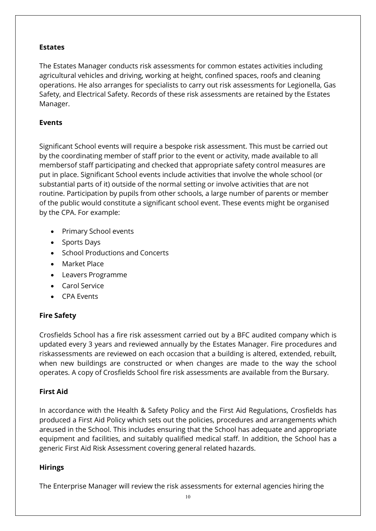### **Estates**

The Estates Manager conducts risk assessments for common estates activities including agricultural vehicles and driving, working at height, confined spaces, roofs and cleaning operations. He also arranges for specialists to carry out risk assessments for Legionella, Gas Safety, and Electrical Safety. Records of these risk assessments are retained by the Estates Manager.

## **Events**

Significant School events will require a bespoke risk assessment. This must be carried out by the coordinating member of staff prior to the event or activity, made available to all membersof staff participating and checked that appropriate safety control measures are put in place. Significant School events include activities that involve the whole school (or substantial parts of it) outside of the normal setting or involve activities that are not routine. Participation by pupils from other schools, a large number of parents or member of the public would constitute a significant school event. These events might be organised by the CPA. For example:

- Primary School events
- Sports Days
- School Productions and Concerts
- Market Place
- Leavers Programme
- Carol Service
- CPA Events

# **Fire Safety**

Crosfields School has a fire risk assessment carried out by a BFC audited company which is updated every 3 years and reviewed annually by the Estates Manager. Fire procedures and riskassessments are reviewed on each occasion that a building is altered, extended, rebuilt, when new buildings are constructed or when changes are made to the way the school operates. A copy of Crosfields School fire risk assessments are available from the Bursary.

# **First Aid**

In accordance with the Health & Safety Policy and the First Aid Regulations, Crosfields has produced a First Aid Policy which sets out the policies, procedures and arrangements which areused in the School. This includes ensuring that the School has adequate and appropriate equipment and facilities, and suitably qualified medical staff. In addition, the School has a generic First Aid Risk Assessment covering general related hazards.

# **Hirings**

The Enterprise Manager will review the risk assessments for external agencies hiring the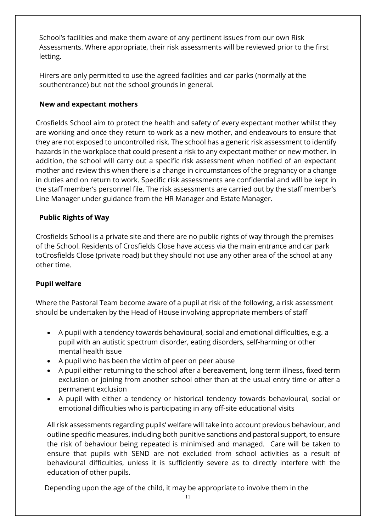School's facilities and make them aware of any pertinent issues from our own Risk Assessments. Where appropriate, their risk assessments will be reviewed prior to the first letting.

Hirers are only permitted to use the agreed facilities and car parks (normally at the southentrance) but not the school grounds in general.

# **New and expectant mothers**

Crosfields School aim to protect the health and safety of every expectant mother whilst they are working and once they return to work as a new mother, and endeavours to ensure that they are not exposed to uncontrolled risk. The school has a generic risk assessment to identify hazards in the workplace that could present a risk to any expectant mother or new mother. In addition, the school will carry out a specific risk assessment when notified of an expectant mother and review this when there is a change in circumstances of the pregnancy or a change in duties and on return to work. Specific risk assessments are confidential and will be kept in the staff member's personnel file. The risk assessments are carried out by the staff member's Line Manager under guidance from the HR Manager and Estate Manager.

# **Public Rights of Way**

Crosfields School is a private site and there are no public rights of way through the premises of the School. Residents of Crosfields Close have access via the main entrance and car park toCrosfields Close (private road) but they should not use any other area of the school at any other time.

# **Pupil welfare**

Where the Pastoral Team become aware of a pupil at risk of the following, a risk assessment should be undertaken by the Head of House involving appropriate members of staff

- A pupil with a tendency towards behavioural, social and emotional difficulties, e.g. a pupil with an autistic spectrum disorder, eating disorders, self-harming or other mental health issue
- A pupil who has been the victim of peer on peer abuse
- A pupil either returning to the school after a bereavement, long term illness, fixed-term exclusion or joining from another school other than at the usual entry time or after a permanent exclusion
- A pupil with either a tendency or historical tendency towards behavioural, social or emotional difficulties who is participating in any off-site educational visits

All risk assessments regarding pupils' welfare will take into account previous behaviour, and outline specific measures, including both punitive sanctions and pastoral support, to ensure the risk of behaviour being repeated is minimised and managed. Care will be taken to ensure that pupils with SEND are not excluded from school activities as a result of behavioural difficulties, unless it is sufficiently severe as to directly interfere with the education of other pupils.

Depending upon the age of the child, it may be appropriate to involve them in the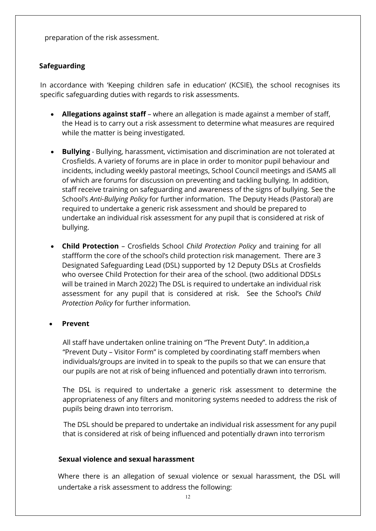preparation of the risk assessment.

#### **Safeguarding**

In accordance with 'Keeping children safe in education' (KCSIE), the school recognises its specific safeguarding duties with regards to risk assessments.

- **Allegations against staff** where an allegation is made against a member of staff, the Head is to carry out a risk assessment to determine what measures are required while the matter is being investigated.
- **Bullying**  Bullying, harassment, victimisation and discrimination are not tolerated at Crosfields. A variety of forums are in place in order to monitor pupil behaviour and incidents, including weekly pastoral meetings, School Council meetings and iSAMS all of which are forums for discussion on preventing and tackling bullying. In addition, staff receive training on safeguarding and awareness of the signs of bullying. See the School's *Anti-Bullying Policy* for further information. The Deputy Heads (Pastoral) are required to undertake a generic risk assessment and should be prepared to undertake an individual risk assessment for any pupil that is considered at risk of bullying.
- **Child Protection**  Crosfields School *Child Protection Policy* and training for all staffform the core of the school's child protection risk management. There are 3 Designated Safeguarding Lead (DSL) supported by 12 Deputy DSLs at Crosfields who oversee Child Protection for their area of the school. (two additional DDSLs will be trained in March 2022) The DSL is required to undertake an individual risk assessment for any pupil that is considered at risk. See the School's *Child Protection Policy* for further information.

#### • **Prevent**

All staff have undertaken online training on "The Prevent Duty". In addition,a "Prevent Duty – Visitor Form" is completed by coordinating staff members when individuals/groups are invited in to speak to the pupils so that we can ensure that our pupils are not at risk of being influenced and potentially drawn into terrorism.

The DSL is required to undertake a generic risk assessment to determine the appropriateness of any filters and monitoring systems needed to address the risk of pupils being drawn into terrorism.

 The DSL should be prepared to undertake an individual risk assessment for any pupil that is considered at risk of being influenced and potentially drawn into terrorism

#### **Sexual violence and sexual harassment**

Where there is an allegation of sexual violence or sexual harassment, the DSL will undertake a risk assessment to address the following: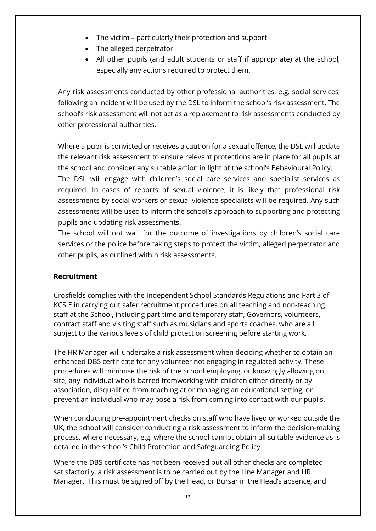- The victim particularly their protection and support
- The alleged perpetrator
- All other pupils (and adult students or staff if appropriate) at the school, especially any actions required to protect them.

Any risk assessments conducted by other professional authorities, e.g. social services, following an incident will be used by the DSL to inform the school's risk assessment. The school's risk assessment will not act as a replacement to risk assessments conducted by other professional authorities.

Where a pupil is convicted or receives a caution for a sexual offence, the DSL will update the relevant risk assessment to ensure relevant protections are in place for all pupils at the school and consider any suitable action in light of the school's Behavioural Policy. The DSL will engage with children's social care services and specialist services as required. In cases of reports of sexual violence, it is likely that professional risk assessments by social workers or sexual violence specialists will be required. Any such assessments will be used to inform the school's approach to supporting and protecting pupils and updating risk assessments.

The school will not wait for the outcome of investigations by children's social care services or the police before taking steps to protect the victim, alleged perpetrator and other pupils, as outlined within risk assessments.

# **Recruitment**

Crosfields complies with the Independent School Standards Regulations and Part 3 of KCSIE in carrying out safer recruitment procedures on all teaching and non-teaching staff at the School, including part-time and temporary staff, Governors, volunteers, contract staff and visiting staff such as musicians and sports coaches, who are all subject to the various levels of child protection screening before starting work.

The HR Manager will undertake a risk assessment when deciding whether to obtain an enhanced DBS certificate for any volunteer not engaging in regulated activity. These procedures will minimise the risk of the School employing, or knowingly allowing on site, any individual who is barred fromworking with children either directly or by association, disqualified from teaching at or managing an educational setting, or prevent an individual who may pose a risk from coming into contact with our pupils.

When conducting pre-appointment checks on staff who have lived or worked outside the UK, the school will consider conducting a risk assessment to inform the decision-making process, where necessary, e.g. where the school cannot obtain all suitable evidence as is detailed in the school's Child Protection and Safeguarding Policy.

Where the DBS certificate has not been received but all other checks are completed satisfactorily, a risk assessment is to be carried out by the Line Manager and HR Manager. This must be signed off by the Head, or Bursar in the Head's absence, and